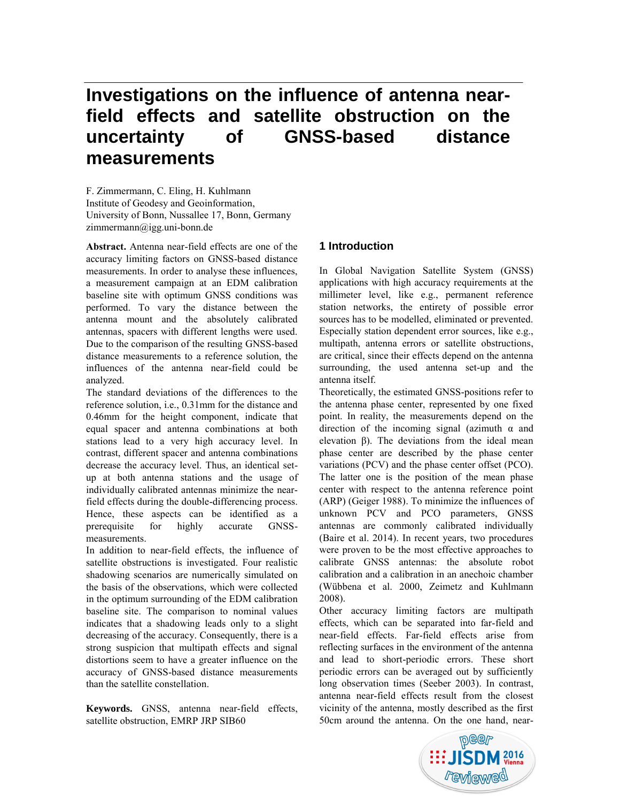# **Investigations on the influence of antenna nearfield effects and satellite obstruction on the uncertainty of GNSS-based distance measurements**

F. Zimmermann, C. Eling, H. Kuhlmann Institute of Geodesy and Geoinformation, University of Bonn, Nussallee 17, Bonn, Germany zimmermann@igg.uni-bonn.de

**Abstract.** Antenna near-field effects are one of the accuracy limiting factors on GNSS-based distance measurements. In order to analyse these influences, a measurement campaign at an EDM calibration baseline site with optimum GNSS conditions was performed. To vary the distance between the antenna mount and the absolutely calibrated antennas, spacers with different lengths were used. Due to the comparison of the resulting GNSS-based distance measurements to a reference solution, the influences of the antenna near-field could be analyzed.

The standard deviations of the differences to the reference solution, i.e., 0.31mm for the distance and 0.46mm for the height component, indicate that equal spacer and antenna combinations at both stations lead to a very high accuracy level. In contrast, different spacer and antenna combinations decrease the accuracy level. Thus, an identical setup at both antenna stations and the usage of individually calibrated antennas minimize the nearfield effects during the double-differencing process. Hence, these aspects can be identified as a prerequisite for highly accurate GNSSmeasurements.

In addition to near-field effects, the influence of satellite obstructions is investigated. Four realistic shadowing scenarios are numerically simulated on the basis of the observations, which were collected in the optimum surrounding of the EDM calibration baseline site. The comparison to nominal values indicates that a shadowing leads only to a slight decreasing of the accuracy. Consequently, there is a strong suspicion that multipath effects and signal distortions seem to have a greater influence on the accuracy of GNSS-based distance measurements than the satellite constellation.

**Keywords.** GNSS, antenna near-field effects, satellite obstruction, EMRP JRP SIB60

## **1 Introduction**

In Global Navigation Satellite System (GNSS) applications with high accuracy requirements at the millimeter level, like e.g., permanent reference station networks, the entirety of possible error sources has to be modelled, eliminated or prevented. Especially station dependent error sources, like e.g., multipath, antenna errors or satellite obstructions, are critical, since their effects depend on the antenna surrounding, the used antenna set-up and the antenna itself.

Theoretically, the estimated GNSS-positions refer to the antenna phase center, represented by one fixed point. In reality, the measurements depend on the direction of the incoming signal (azimuth  $\alpha$  and elevation β). The deviations from the ideal mean phase center are described by the phase center variations (PCV) and the phase center offset (PCO). The latter one is the position of the mean phase center with respect to the antenna reference point (ARP) (Geiger 1988). To minimize the influences of unknown PCV and PCO parameters, GNSS antennas are commonly calibrated individually (Baire et al. 2014). In recent years, two procedures were proven to be the most effective approaches to calibrate GNSS antennas: the absolute robot calibration and a calibration in an anechoic chamber (Wübbena et al. 2000, Zeimetz and Kuhlmann 2008).

Other accuracy limiting factors are multipath effects, which can be separated into far-field and near-field effects. Far-field effects arise from reflecting surfaces in the environment of the antenna and lead to short-periodic errors. These short periodic errors can be averaged out by sufficiently long observation times (Seeber 2003). In contrast, antenna near-field effects result from the closest vicinity of the antenna, mostly described as the first 50cm around the antenna. On the one hand, near-

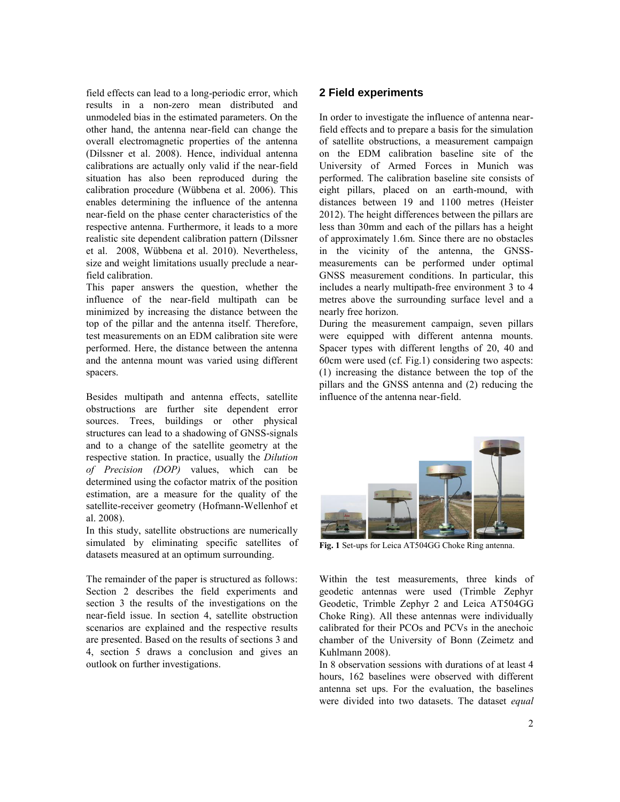field effects can lead to a long-periodic error, which results in a non-zero mean distributed and unmodeled bias in the estimated parameters. On the other hand, the antenna near-field can change the overall electromagnetic properties of the antenna (Dilssner et al. 2008). Hence, individual antenna calibrations are actually only valid if the near-field situation has also been reproduced during the calibration procedure (Wübbena et al. 2006). This enables determining the influence of the antenna near-field on the phase center characteristics of the respective antenna. Furthermore, it leads to a more realistic site dependent calibration pattern (Dilssner et al. 2008, Wübbena et al. 2010). Nevertheless, size and weight limitations usually preclude a nearfield calibration.

This paper answers the question, whether the influence of the near-field multipath can be minimized by increasing the distance between the top of the pillar and the antenna itself. Therefore, test measurements on an EDM calibration site were performed. Here, the distance between the antenna and the antenna mount was varied using different spacers.

Besides multipath and antenna effects, satellite obstructions are further site dependent error sources. Trees, buildings or other physical structures can lead to a shadowing of GNSS-signals and to a change of the satellite geometry at the respective station. In practice, usually the *Dilution of Precision (DOP)* values, which can be determined using the cofactor matrix of the position estimation, are a measure for the quality of the satellite-receiver geometry (Hofmann-Wellenhof et al. 2008).

In this study, satellite obstructions are numerically simulated by eliminating specific satellites of datasets measured at an optimum surrounding.

The remainder of the paper is structured as follows: Section 2 describes the field experiments and section 3 the results of the investigations on the near-field issue. In section 4, satellite obstruction scenarios are explained and the respective results are presented. Based on the results of sections 3 and 4, section 5 draws a conclusion and gives an outlook on further investigations.

## **2 Field experiments**

In order to investigate the influence of antenna nearfield effects and to prepare a basis for the simulation of satellite obstructions, a measurement campaign on the EDM calibration baseline site of the University of Armed Forces in Munich was performed. The calibration baseline site consists of eight pillars, placed on an earth-mound, with distances between 19 and 1100 metres (Heister 2012). The height differences between the pillars are less than 30mm and each of the pillars has a height of approximately 1.6m. Since there are no obstacles in the vicinity of the antenna, the GNSSmeasurements can be performed under optimal GNSS measurement conditions. In particular, this includes a nearly multipath-free environment 3 to 4 metres above the surrounding surface level and a nearly free horizon.

During the measurement campaign, seven pillars were equipped with different antenna mounts. Spacer types with different lengths of 20, 40 and 60cm were used (cf. Fig.1) considering two aspects: (1) increasing the distance between the top of the pillars and the GNSS antenna and (2) reducing the influence of the antenna near-field.



**Fig. 1** Set-ups for Leica AT504GG Choke Ring antenna.

Within the test measurements, three kinds of geodetic antennas were used (Trimble Zephyr Geodetic, Trimble Zephyr 2 and Leica AT504GG Choke Ring). All these antennas were individually calibrated for their PCOs and PCVs in the anechoic chamber of the University of Bonn (Zeimetz and Kuhlmann 2008).

In 8 observation sessions with durations of at least 4 hours, 162 baselines were observed with different antenna set ups. For the evaluation, the baselines were divided into two datasets. The dataset *equal*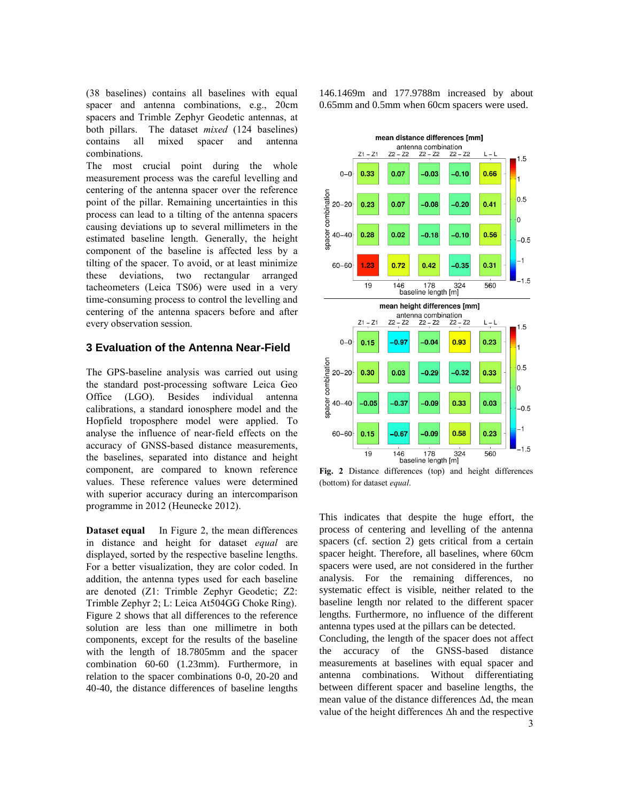(38 baselines) contains all baselines with equal spacer and antenna combinations, e.g., 20cm spacers and Trimble Zephyr Geodetic antennas, at both pillars. The dataset *mixed* (124 baselines) contains all mixed spacer and antenna combinations.

The most crucial point during the whole measurement process was the careful levelling and centering of the antenna spacer over the reference point of the pillar. Remaining uncertainties in this process can lead to a tilting of the antenna spacers causing deviations up to several millimeters in the estimated baseline length. Generally, the height component of the baseline is affected less by a tilting of the spacer. To avoid, or at least minimize these deviations, two rectangular arranged tacheometers (Leica TS06) were used in a very time-consuming process to control the levelling and centering of the antenna spacers before and after every observation session.

## **3 Evaluation of the Antenna Near-Field**

The GPS-baseline analysis was carried out using the standard post-processing software Leica Geo Office (LGO). Besides individual antenna calibrations, a standard ionosphere model and the Hopfield troposphere model were applied. To analyse the influence of near-field effects on the accuracy of GNSS-based distance measurements, the baselines, separated into distance and height component, are compared to known reference values. These reference values were determined with superior accuracy during an intercomparison programme in 2012 (Heunecke 2012).

**Dataset equal** In Figure 2, the mean differences in distance and height for dataset *equal* are displayed, sorted by the respective baseline lengths. For a better visualization, they are color coded. In addition, the antenna types used for each baseline are denoted (Z1: Trimble Zephyr Geodetic; Z2: Trimble Zephyr 2; L: Leica At504GG Choke Ring). Figure 2 shows that all differences to the reference solution are less than one millimetre in both components, except for the results of the baseline with the length of 18.7805mm and the spacer combination 60-60 (1.23mm). Furthermore, in relation to the spacer combinations 0-0, 20-20 and 40-40, the distance differences of baseline lengths

146.1469m and 177.9788m increased by about 0.65mm and 0.5mm when 60cm spacers were used.



**Fig. 2** Distance differences (top) and height differences (bottom) for dataset *equal*.

This indicates that despite the huge effort, the process of centering and levelling of the antenna spacers (cf. section 2) gets critical from a certain spacer height. Therefore, all baselines, where 60cm spacers were used, are not considered in the further analysis. For the remaining differences, no systematic effect is visible, neither related to the baseline length nor related to the different spacer lengths. Furthermore, no influence of the different antenna types used at the pillars can be detected.

Concluding, the length of the spacer does not affect the accuracy of the GNSS-based distance measurements at baselines with equal spacer and antenna combinations. Without differentiating between different spacer and baseline lengths, the mean value of the distance differences Δd, the mean value of the height differences Δh and the respective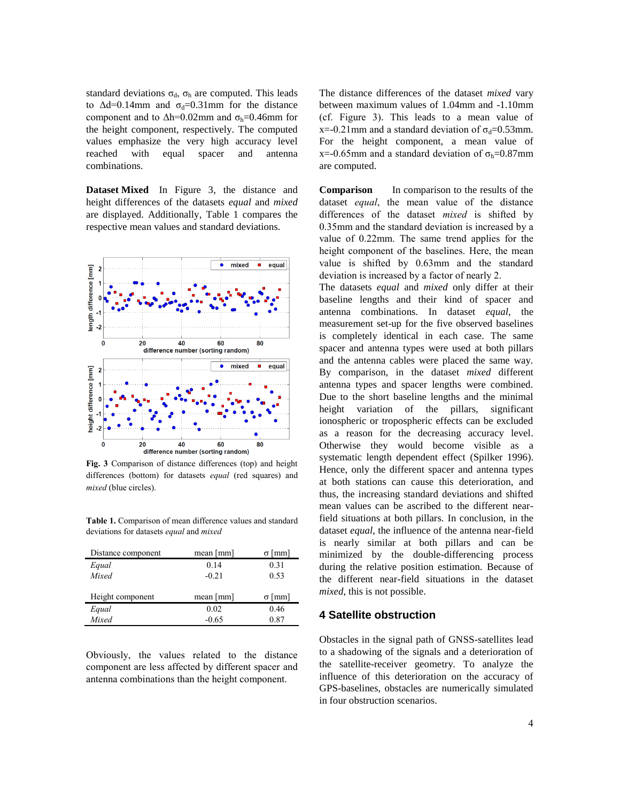standard deviations  $\sigma_d$ ,  $\sigma_h$  are computed. This leads to  $\Delta d=0.14$ mm and  $\sigma_d=0.31$ mm for the distance component and to  $\Delta h$ =0.02mm and  $\sigma_h$ =0.46mm for the height component, respectively. The computed values emphasize the very high accuracy level reached with equal spacer and antenna combinations.

**Dataset Mixed** In Figure 3, the distance and height differences of the datasets *equal* and *mixed* are displayed. Additionally, Table 1 compares the respective mean values and standard deviations.



**Fig. 3** Comparison of distance differences (top) and height differences (bottom) for datasets *equal* (red squares) and *mixed* (blue circles).

**Table 1.** Comparison of mean difference values and standard deviations for datasets *equal* and *mixed*

| Distance component | mean [mm]                 | [mm]          |
|--------------------|---------------------------|---------------|
| Equal              | 0.14                      | 0.31          |
| Mixed              | $-0.21$                   | 0.53          |
|                    |                           |               |
| Height component   | mean $\lceil$ mm $\rceil$ | $\sigma$ [mm] |
| Equal              | 0.02                      | 0.46          |
| Mixed              | $-0.65$                   | 0.87          |

Obviously, the values related to the distance component are less affected by different spacer and antenna combinations than the height component.

The distance differences of the dataset *mixed* vary between maximum values of 1.04mm and -1.10mm (cf. Figure 3). This leads to a mean value of x=-0.21mm and a standard deviation of  $\sigma_d$ =0.53mm. For the height component, a mean value of x=-0.65mm and a standard deviation of  $\sigma_h$ =0.87mm are computed.

**Comparison** In comparison to the results of the dataset *equal*, the mean value of the distance differences of the dataset *mixed* is shifted by 0.35mm and the standard deviation is increased by a value of 0.22mm. The same trend applies for the height component of the baselines. Here, the mean value is shifted by 0.63mm and the standard deviation is increased by a factor of nearly 2.

The datasets *equal* and *mixed* only differ at their baseline lengths and their kind of spacer and antenna combinations. In dataset *equal*, the measurement set-up for the five observed baselines is completely identical in each case. The same spacer and antenna types were used at both pillars and the antenna cables were placed the same way. By comparison, in the dataset *mixed* different antenna types and spacer lengths were combined. Due to the short baseline lengths and the minimal height variation of the pillars, significant ionospheric or tropospheric effects can be excluded as a reason for the decreasing accuracy level. Otherwise they would become visible as a systematic length dependent effect (Spilker 1996). Hence, only the different spacer and antenna types at both stations can cause this deterioration, and thus, the increasing standard deviations and shifted mean values can be ascribed to the different nearfield situations at both pillars. In conclusion, in the dataset *equal*, the influence of the antenna near-field is nearly similar at both pillars and can be minimized by the double-differencing process during the relative position estimation. Because of the different near-field situations in the dataset *mixed*, this is not possible.

## **4 Satellite obstruction**

Obstacles in the signal path of GNSS-satellites lead to a shadowing of the signals and a deterioration of the satellite-receiver geometry. To analyze the influence of this deterioration on the accuracy of GPS-baselines, obstacles are numerically simulated in four obstruction scenarios.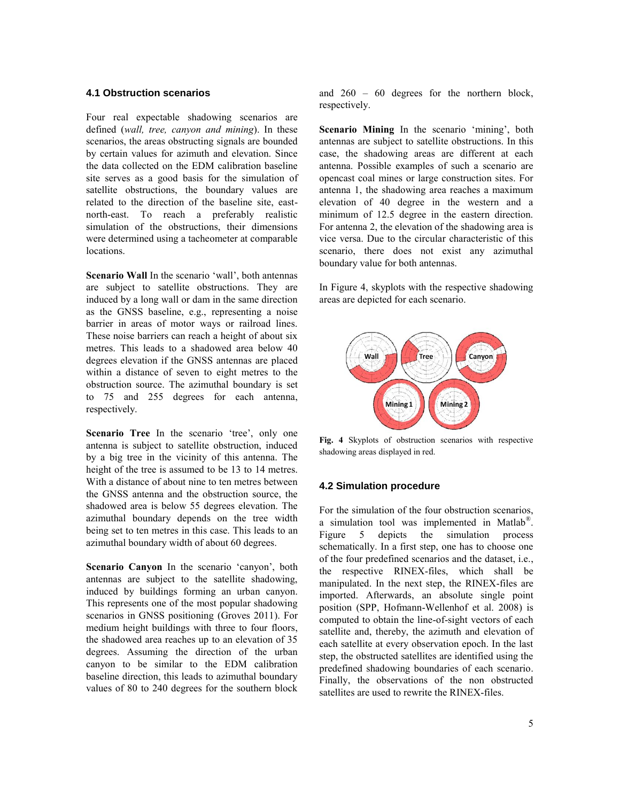#### **4.1 Obstruction scenarios**

Four real expectable shadowing scenarios are defined (*wall, tree, canyon and mining*). In these scenarios, the areas obstructing signals are bounded by certain values for azimuth and elevation. Since the data collected on the EDM calibration baseline site serves as a good basis for the simulation of satellite obstructions, the boundary values are related to the direction of the baseline site, eastnorth-east. To reach a preferably realistic simulation of the obstructions, their dimensions were determined using a tacheometer at comparable locations.

**Scenario Wall** In the scenario 'wall', both antennas are subject to satellite obstructions. They are induced by a long wall or dam in the same direction as the GNSS baseline, e.g., representing a noise barrier in areas of motor ways or railroad lines. These noise barriers can reach a height of about six metres. This leads to a shadowed area below 40 degrees elevation if the GNSS antennas are placed within a distance of seven to eight metres to the obstruction source. The azimuthal boundary is set to 75 and 255 degrees for each antenna, respectively.

Scenario Tree In the scenario 'tree', only one antenna is subject to satellite obstruction, induced by a big tree in the vicinity of this antenna. The height of the tree is assumed to be 13 to 14 metres. With a distance of about nine to ten metres between the GNSS antenna and the obstruction source, the shadowed area is below 55 degrees elevation. The azimuthal boundary depends on the tree width being set to ten metres in this case. This leads to an azimuthal boundary width of about 60 degrees.

**Scenario Canyon** In the scenario 'canyon', both antennas are subject to the satellite shadowing, induced by buildings forming an urban canyon. This represents one of the most popular shadowing scenarios in GNSS positioning (Groves 2011). For medium height buildings with three to four floors, the shadowed area reaches up to an elevation of 35 degrees. Assuming the direction of the urban canyon to be similar to the EDM calibration baseline direction, this leads to azimuthal boundary values of 80 to 240 degrees for the southern block

and 260 – 60 degrees for the northern block, respectively.

**Scenario Mining** In the scenario 'mining', both antennas are subject to satellite obstructions. In this case, the shadowing areas are different at each antenna. Possible examples of such a scenario are opencast coal mines or large construction sites. For antenna 1, the shadowing area reaches a maximum elevation of 40 degree in the western and a minimum of 12.5 degree in the eastern direction. For antenna 2, the elevation of the shadowing area is vice versa. Due to the circular characteristic of this scenario, there does not exist any azimuthal boundary value for both antennas.

In Figure 4, skyplots with the respective shadowing areas are depicted for each scenario.



**Fig. 4** Skyplots of obstruction scenarios with respective shadowing areas displayed in red.

#### **4.2 Simulation procedure**

For the simulation of the four obstruction scenarios, a simulation tool was implemented in Matlab®. Figure 5 depicts the simulation process schematically. In a first step, one has to choose one of the four predefined scenarios and the dataset, i.e., the respective RINEX-files, which shall be manipulated. In the next step, the RINEX-files are imported. Afterwards, an absolute single point position (SPP, Hofmann-Wellenhof et al. 2008) is computed to obtain the line-of-sight vectors of each satellite and, thereby, the azimuth and elevation of each satellite at every observation epoch. In the last step, the obstructed satellites are identified using the predefined shadowing boundaries of each scenario. Finally, the observations of the non obstructed satellites are used to rewrite the RINEX-files.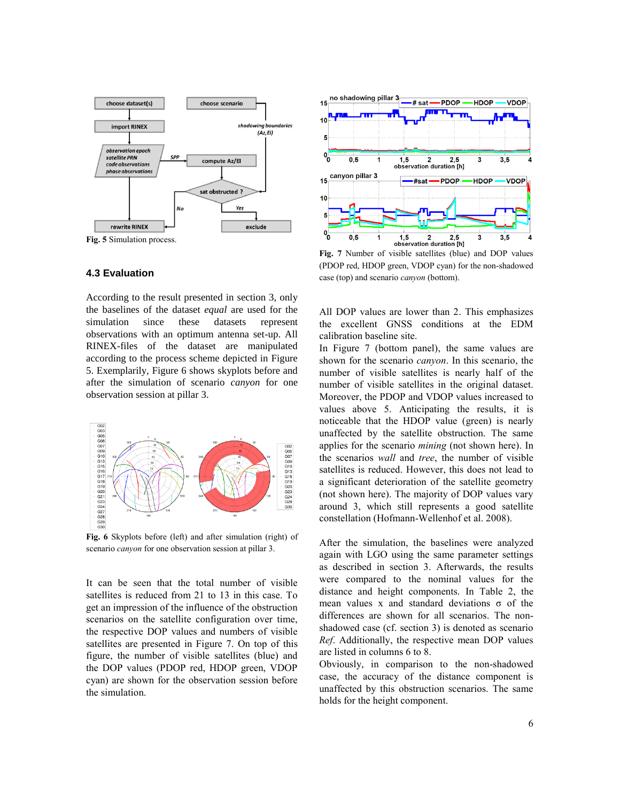

**Fig. 5** Simulation process.

#### **4.3 Evaluation**

According to the result presented in section 3, only the baselines of the dataset *equal* are used for the simulation since these datasets represent observations with an optimum antenna set-up. All RINEX-files of the dataset are manipulated according to the process scheme depicted in Figure 5. Exemplarily, Figure 6 shows skyplots before and after the simulation of scenario *canyon* for one observation session at pillar 3.



**Fig. 6** Skyplots before (left) and after simulation (right) of scenario *canyon* for one observation session at pillar 3.

It can be seen that the total number of visible satellites is reduced from 21 to 13 in this case. To get an impression of the influence of the obstruction scenarios on the satellite configuration over time, the respective DOP values and numbers of visible satellites are presented in Figure 7. On top of this figure, the number of visible satellites (blue) and the DOP values (PDOP red, HDOP green, VDOP cyan) are shown for the observation session before the simulation.



**Fig. 7** Number of visible satellites (blue) and DOP values (PDOP red, HDOP green, VDOP cyan) for the non-shadowed case (top) and scenario *canyon* (bottom).

All DOP values are lower than 2. This emphasizes the excellent GNSS conditions at the EDM calibration baseline site.

In Figure 7 (bottom panel), the same values are shown for the scenario *canyon*. In this scenario, the number of visible satellites is nearly half of the number of visible satellites in the original dataset. Moreover, the PDOP and VDOP values increased to values above 5. Anticipating the results, it is noticeable that the HDOP value (green) is nearly unaffected by the satellite obstruction. The same applies for the scenario *mining* (not shown here). In the scenarios *wall* and *tree*, the number of visible satellites is reduced. However, this does not lead to a significant deterioration of the satellite geometry (not shown here). The majority of DOP values vary around 3, which still represents a good satellite constellation (Hofmann-Wellenhof et al. 2008).

After the simulation, the baselines were analyzed again with LGO using the same parameter settings as described in section 3. Afterwards, the results were compared to the nominal values for the distance and height components. In Table 2, the mean values x and standard deviations  $\sigma$  of the differences are shown for all scenarios. The nonshadowed case (cf. section 3) is denoted as scenario *Ref*. Additionally, the respective mean DOP values are listed in columns 6 to 8.

Obviously, in comparison to the non-shadowed case, the accuracy of the distance component is unaffected by this obstruction scenarios. The same holds for the height component.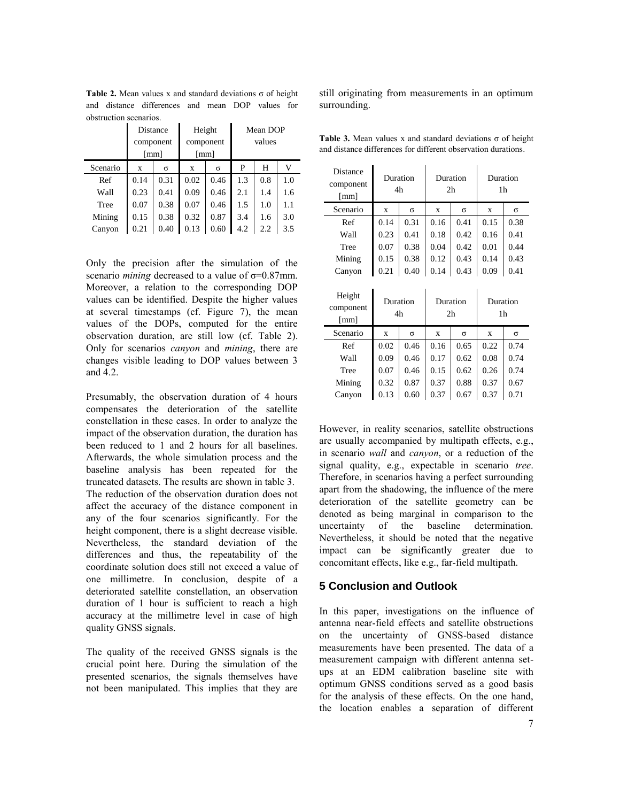**Table 2.** Mean values x and standard deviations σ of height and distance differences and mean DOP values for obstruction scenarios.

|          | Distance             |      | Height               |      | Mean DOP |     |     |
|----------|----------------------|------|----------------------|------|----------|-----|-----|
|          | component            |      | component            |      | values   |     |     |
|          | $\lceil$ mm $\rceil$ |      | $\lceil$ mm $\rceil$ |      |          |     |     |
| Scenario | X                    | σ    | X                    | σ    | P        | H   | v   |
| Ref      | 0.14                 | 0.31 | 0.02                 | 0.46 | 1.3      | 0.8 | 1.0 |
| Wall     | 0.23                 | 0.41 | 0.09                 | 0.46 | 2.1      | 1.4 | 1.6 |
| Tree     | 0.07                 | 0.38 | 0.07                 | 0.46 | 1.5      | 1.0 | 1.1 |
| Mining   | 0.15                 | 0.38 | 0.32                 | 0.87 | 3.4      | 1.6 | 3.0 |
| Canyon   | 0.21                 | 0.40 | 0.13                 | 0.60 | 4.2      | 2.2 | 3.5 |

Only the precision after the simulation of the scenario *mining* decreased to a value of σ=0.87mm. Moreover, a relation to the corresponding DOP values can be identified. Despite the higher values at several timestamps (cf. Figure 7), the mean values of the DOPs, computed for the entire observation duration, are still low (cf. Table 2). Only for scenarios *canyon* and *mining*, there are changes visible leading to DOP values between 3 and 4.2.

Presumably, the observation duration of 4 hours compensates the deterioration of the satellite constellation in these cases. In order to analyze the impact of the observation duration, the duration has been reduced to 1 and 2 hours for all baselines. Afterwards, the whole simulation process and the baseline analysis has been repeated for the truncated datasets. The results are shown in table 3. The reduction of the observation duration does not affect the accuracy of the distance component in any of the four scenarios significantly. For the height component, there is a slight decrease visible. Nevertheless, the standard deviation of the differences and thus, the repeatability of the coordinate solution does still not exceed a value of one millimetre. In conclusion, despite of a deteriorated satellite constellation, an observation duration of 1 hour is sufficient to reach a high accuracy at the millimetre level in case of high quality GNSS signals.

The quality of the received GNSS signals is the crucial point here. During the simulation of the presented scenarios, the signals themselves have not been manipulated. This implies that they are

still originating from measurements in an optimum surrounding.

|  |  |                                                               | <b>Table 3.</b> Mean values x and standard deviations $\sigma$ of height |
|--|--|---------------------------------------------------------------|--------------------------------------------------------------------------|
|  |  | and distance differences for different observation durations. |                                                                          |

| Distance<br>component<br>[mm]               | Duration<br>4h |          | Duration<br>2 <sub>h</sub> |          | Duration<br>1 <sub>h</sub> |          |
|---------------------------------------------|----------------|----------|----------------------------|----------|----------------------------|----------|
| Scenario                                    | $\mathbf x$    | $\sigma$ | $\mathbf x$                | $\sigma$ | $\mathbf x$                | $\sigma$ |
| Ref                                         | 0.14           | 0.31     | 0.16                       | 0.41     | 0.15                       | 0.38     |
| Wall                                        | 0.23           | 0.41     | 0.18                       | 0.42     | 0.16                       | 0.41     |
| Tree                                        | 0.07           | 0.38     | 0.04                       | 0.42     | 0.01                       | 0.44     |
| Mining                                      | 0.15           | 0.38     | 0.12                       | 0.43     | 0.14                       | 0.43     |
| Canyon                                      | 0.21           | 0.40     | 0.14                       | 0.43     | 0.09                       | 0.41     |
|                                             | Duration<br>4h |          | Duration<br>2 <sub>h</sub> |          | Duration<br>1 <sub>h</sub> |          |
| Height<br>component<br>$\lceil$ mm $\rceil$ |                |          |                            |          |                            |          |
| Scenario                                    | $\mathbf x$    | $\sigma$ | X                          | $\sigma$ | $\mathbf x$                | σ        |
| Ref                                         | 0.02           | 0.46     | 0.16                       | 0.65     | 0.22                       | 0.74     |
| Wall                                        | 0.09           | 0.46     | 0.17                       | 0.62     | 0.08                       | 0.74     |
| Tree                                        | 0.07           | 0.46     | 0.15                       | 0.62     | 0.26                       | 0.74     |
| Mining                                      | 0.32           | 0.87     | 0.37                       | 0.88     | 0.37                       | 0.67     |

However, in reality scenarios, satellite obstructions are usually accompanied by multipath effects, e.g., in scenario *wall* and *canyon*, or a reduction of the signal quality, e.g., expectable in scenario *tree*. Therefore, in scenarios having a perfect surrounding apart from the shadowing, the influence of the mere deterioration of the satellite geometry can be denoted as being marginal in comparison to the uncertainty of the baseline determination. Nevertheless, it should be noted that the negative impact can be significantly greater due to concomitant effects, like e.g., far-field multipath.

## **5 Conclusion and Outlook**

In this paper, investigations on the influence of antenna near-field effects and satellite obstructions on the uncertainty of GNSS-based distance measurements have been presented. The data of a measurement campaign with different antenna setups at an EDM calibration baseline site with optimum GNSS conditions served as a good basis for the analysis of these effects. On the one hand, the location enables a separation of different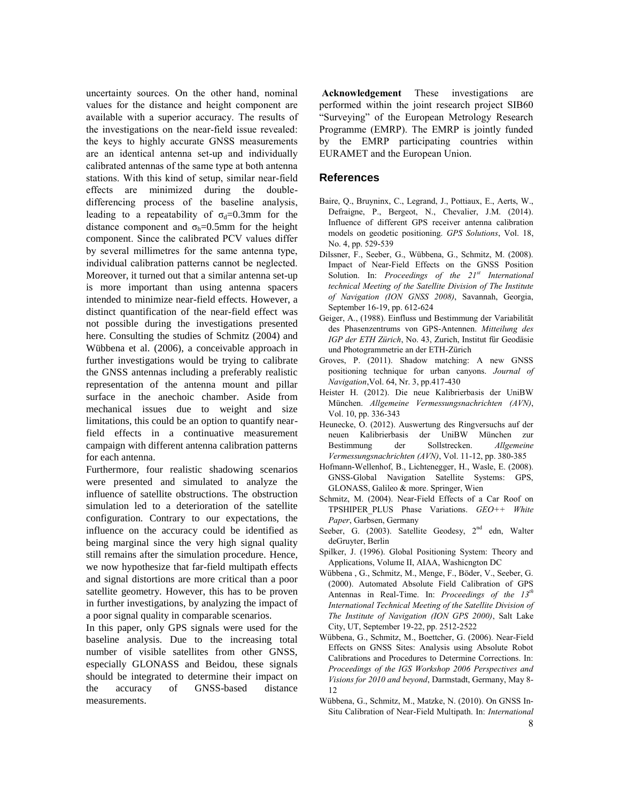uncertainty sources. On the other hand, nominal values for the distance and height component are available with a superior accuracy. The results of the investigations on the near-field issue revealed: the keys to highly accurate GNSS measurements are an identical antenna set-up and individually calibrated antennas of the same type at both antenna stations. With this kind of setup, similar near-field effects are minimized during the doubledifferencing process of the baseline analysis, leading to a repeatability of  $\sigma_d = 0.3$ mm for the distance component and  $\sigma_h = 0.5$ mm for the height component. Since the calibrated PCV values differ by several millimetres for the same antenna type, individual calibration patterns cannot be neglected. Moreover, it turned out that a similar antenna set-up is more important than using antenna spacers intended to minimize near-field effects. However, a distinct quantification of the near-field effect was not possible during the investigations presented here. Consulting the studies of Schmitz (2004) and Wübbena et al. (2006), a conceivable approach in further investigations would be trying to calibrate the GNSS antennas including a preferably realistic representation of the antenna mount and pillar surface in the anechoic chamber. Aside from mechanical issues due to weight and size limitations, this could be an option to quantify nearfield effects in a continuative measurement campaign with different antenna calibration patterns for each antenna.

Furthermore, four realistic shadowing scenarios were presented and simulated to analyze the influence of satellite obstructions. The obstruction simulation led to a deterioration of the satellite configuration. Contrary to our expectations, the influence on the accuracy could be identified as being marginal since the very high signal quality still remains after the simulation procedure. Hence, we now hypothesize that far-field multipath effects and signal distortions are more critical than a poor satellite geometry. However, this has to be proven in further investigations, by analyzing the impact of a poor signal quality in comparable scenarios.

In this paper, only GPS signals were used for the baseline analysis. Due to the increasing total number of visible satellites from other GNSS, especially GLONASS and Beidou, these signals should be integrated to determine their impact on the accuracy of GNSS-based distance measurements.

**Acknowledgement** These investigations are performed within the joint research project SIB60 "Surveying" of the European Metrology Research Programme (EMRP). The EMRP is jointly funded by the EMRP participating countries within EURAMET and the European Union.

## **References**

- Baire, Q., Bruyninx, C., Legrand, J., Pottiaux, E., Aerts, W., Defraigne, P., Bergeot, N., Chevalier, J.M. (2014). Influence of different GPS receiver antenna calibration models on geodetic positioning. *GPS Solutions*, Vol. 18, No. 4, pp. 529-539
- Dilssner, F., Seeber, G., Wübbena, G., Schmitz, M. (2008). Impact of Near-Field Effects on the GNSS Position Solution. In: *Proceedings of the 21st International technical Meeting of the Satellite Division of The Institute of Navigation (ION GNSS 2008)*, Savannah, Georgia, September 16-19, pp. 612-624
- Geiger, A., (1988). Einfluss und Bestimmung der Variabilität des Phasenzentrums von GPS-Antennen. *Mitteilung des IGP der ETH Zürich*, No. 43, Zurich, Institut für Geodäsie und Photogrammetrie an der ETH-Zürich
- Groves, P. (2011). Shadow matching: A new GNSS positioning technique for urban canyons. *Journal of Navigation*,Vol. 64, Nr. 3, pp.417-430
- Heister H. (2012). Die neue Kalibrierbasis der UniBW München. *Allgemeine Vermessungsnachrichten (AVN)*, Vol. 10, pp. 336-343
- Heunecke, O. (2012). Auswertung des Ringversuchs auf der neuen Kalibrierbasis der UniBW München zur Bestimmung der Sollstrecken. *Allgemeine Vermessungsnachrichten (AVN)*, Vol. 11-12, pp. 380-385
- Hofmann-Wellenhof, B., Lichtenegger, H., Wasle, E. (2008). GNSS-Global Navigation Satellite Systems: GPS, GLONASS, Galileo & more. Springer, Wien
- Schmitz, M. (2004). Near-Field Effects of a Car Roof on TPSHIPER\_PLUS Phase Variations. *GEO++ White Paper*, Garbsen, Germany
- Seeber, G. (2003). Satellite Geodesy, 2<sup>nd</sup> edn, Walter deGruyter, Berlin
- Spilker, J. (1996). Global Positioning System: Theory and Applications, Volume II, AIAA, Washicngton DC
- Wübbena , G., Schmitz, M., Menge, F., Böder, V., Seeber, G. (2000). Automated Absolute Field Calibration of GPS Antennas in Real-Time. In: *Proceedings of the 13th International Technical Meeting of the Satellite Division of The Institute of Navigation (ION GPS 2000)*, Salt Lake City, UT, September 19-22, pp. 2512-2522
- Wübbena, G., Schmitz, M., Boettcher, G. (2006). Near-Field Effects on GNSS Sites: Analysis using Absolute Robot Calibrations and Procedures to Determine Corrections. In: *Proceedings of the IGS Workshop 2006 Perspectives and Visions for 2010 and beyond*, Darmstadt, Germany, May 8- 12
- Wübbena, G., Schmitz, M., Matzke, N. (2010). On GNSS In-Situ Calibration of Near-Field Multipath. In: *International*